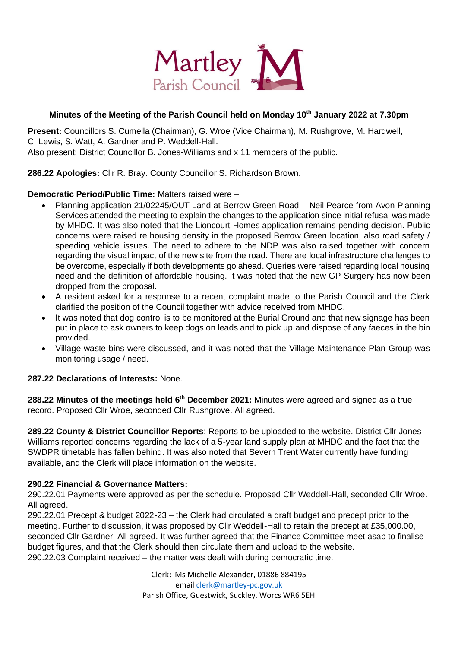

# **Minutes of the Meeting of the Parish Council held on Monday 10th January 2022 at 7.30pm**

**Present:** Councillors S. Cumella (Chairman), G. Wroe (Vice Chairman), M. Rushgrove, M. Hardwell, C. Lewis, S. Watt, A. Gardner and P. Weddell-Hall. Also present: District Councillor B. Jones-Williams and x 11 members of the public.

**286.22 Apologies:** Cllr R. Bray. County Councillor S. Richardson Brown.

## **Democratic Period/Public Time:** Matters raised were –

- Planning application 21/02245/OUT Land at Berrow Green Road Neil Pearce from Avon Planning Services attended the meeting to explain the changes to the application since initial refusal was made by MHDC. It was also noted that the Lioncourt Homes application remains pending decision. Public concerns were raised re housing density in the proposed Berrow Green location, also road safety / speeding vehicle issues. The need to adhere to the NDP was also raised together with concern regarding the visual impact of the new site from the road. There are local infrastructure challenges to be overcome, especially if both developments go ahead. Queries were raised regarding local housing need and the definition of affordable housing. It was noted that the new GP Surgery has now been dropped from the proposal.
- A resident asked for a response to a recent complaint made to the Parish Council and the Clerk clarified the position of the Council together with advice received from MHDC.
- It was noted that dog control is to be monitored at the Burial Ground and that new signage has been put in place to ask owners to keep dogs on leads and to pick up and dispose of any faeces in the bin provided.
- Village waste bins were discussed, and it was noted that the Village Maintenance Plan Group was monitoring usage / need.

### **287.22 Declarations of Interests:** None.

**288.22 Minutes of the meetings held 6 th December 2021:** Minutes were agreed and signed as a true record. Proposed Cllr Wroe, seconded Cllr Rushgrove. All agreed.

**289.22 County & District Councillor Reports**: Reports to be uploaded to the website. District Cllr Jones-Williams reported concerns regarding the lack of a 5-year land supply plan at MHDC and the fact that the SWDPR timetable has fallen behind. It was also noted that Severn Trent Water currently have funding available, and the Clerk will place information on the website.

#### **290.22 Financial & Governance Matters:**

290.22.01 Payments were approved as per the schedule. Proposed Cllr Weddell-Hall, seconded Cllr Wroe. All agreed.

290.22.01 Precept & budget 2022-23 – the Clerk had circulated a draft budget and precept prior to the meeting. Further to discussion, it was proposed by Cllr Weddell-Hall to retain the precept at £35,000.00, seconded Cllr Gardner. All agreed. It was further agreed that the Finance Committee meet asap to finalise budget figures, and that the Clerk should then circulate them and upload to the website. 290.22.03 Complaint received – the matter was dealt with during democratic time.

> Clerk: Ms Michelle Alexander, 01886 884195 email clerk@martley-pc.gov.uk Parish Office, Guestwick, Suckley, Worcs WR6 5EH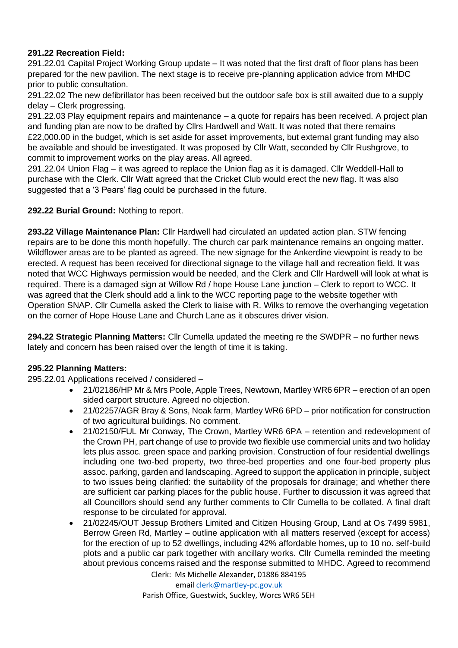# **291.22 Recreation Field:**

291.22.01 Capital Project Working Group update – It was noted that the first draft of floor plans has been prepared for the new pavilion. The next stage is to receive pre-planning application advice from MHDC prior to public consultation.

291.22.02 The new defibrillator has been received but the outdoor safe box is still awaited due to a supply delay – Clerk progressing.

291.22.03 Play equipment repairs and maintenance – a quote for repairs has been received. A project plan and funding plan are now to be drafted by Cllrs Hardwell and Watt. It was noted that there remains £22,000.00 in the budget, which is set aside for asset improvements, but external grant funding may also be available and should be investigated. It was proposed by Cllr Watt, seconded by Cllr Rushgrove, to commit to improvement works on the play areas. All agreed.

291.22.04 Union Flag – it was agreed to replace the Union flag as it is damaged. Cllr Weddell-Hall to purchase with the Clerk. Cllr Watt agreed that the Cricket Club would erect the new flag. It was also suggested that a '3 Pears' flag could be purchased in the future.

## **292.22 Burial Ground:** Nothing to report.

**293.22 Village Maintenance Plan:** Cllr Hardwell had circulated an updated action plan. STW fencing repairs are to be done this month hopefully. The church car park maintenance remains an ongoing matter. Wildflower areas are to be planted as agreed. The new signage for the Ankerdine viewpoint is ready to be erected. A request has been received for directional signage to the village hall and recreation field. It was noted that WCC Highways permission would be needed, and the Clerk and Cllr Hardwell will look at what is required. There is a damaged sign at Willow Rd / hope House Lane junction – Clerk to report to WCC. It was agreed that the Clerk should add a link to the WCC reporting page to the website together with Operation SNAP. Cllr Cumella asked the Clerk to liaise with R. Wilks to remove the overhanging vegetation on the corner of Hope House Lane and Church Lane as it obscures driver vision.

**294.22 Strategic Planning Matters:** Cllr Cumella updated the meeting re the SWDPR – no further news lately and concern has been raised over the length of time it is taking.

# **295.22 Planning Matters:**

295.22.01 Applications received / considered –

- 21/02186/HP Mr & Mrs Poole, Apple Trees, Newtown, Martley WR6 6PR erection of an open sided carport structure. Agreed no objection.
- 21/02257/AGR Bray & Sons, Noak farm, Martley WR6 6PD prior notification for construction of two agricultural buildings. No comment.
- 21/02150/FUL Mr Conway, The Crown, Martley WR6 6PA retention and redevelopment of the Crown PH, part change of use to provide two flexible use commercial units and two holiday lets plus assoc. green space and parking provision. Construction of four residential dwellings including one two-bed property, two three-bed properties and one four-bed property plus assoc. parking, garden and landscaping. Agreed to support the application in principle, subject to two issues being clarified: the suitability of the proposals for drainage; and whether there are sufficient car parking places for the public house. Further to discussion it was agreed that all Councillors should send any further comments to Cllr Cumella to be collated. A final draft response to be circulated for approval.
- 21/02245/OUT Jessup Brothers Limited and Citizen Housing Group, Land at Os 7499 5981, Berrow Green Rd, Martley – outline application with all matters reserved (except for access) for the erection of up to 52 dwellings, including 42% affordable homes, up to 10 no. self-build plots and a public car park together with ancillary works. Cllr Cumella reminded the meeting about previous concerns raised and the response submitted to MHDC. Agreed to recommend

Clerk: Ms Michelle Alexander, 01886 884195

email clerk@martley-pc.gov.uk Parish Office, Guestwick, Suckley, Worcs WR6 5EH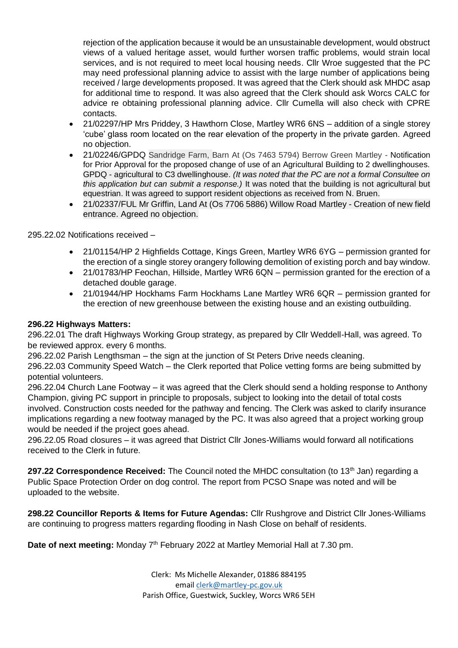rejection of the application because it would be an unsustainable development, would obstruct views of a valued heritage asset, would further worsen traffic problems, would strain local services, and is not required to meet local housing needs. Cllr Wroe suggested that the PC may need professional planning advice to assist with the large number of applications being received / large developments proposed. It was agreed that the Clerk should ask MHDC asap for additional time to respond. It was also agreed that the Clerk should ask Worcs CALC for advice re obtaining professional planning advice. Cllr Cumella will also check with CPRE contacts.

- 21/02297/HP Mrs Priddey, 3 Hawthorn Close, Martley WR6 6NS addition of a single storey 'cube' glass room located on the rear elevation of the property in the private garden. Agreed no objection.
- 21/02246/GPDQ Sandridge Farm, Barn At (Os 7463 5794) Berrow Green Martley Notification for Prior Approval for the proposed change of use of an Agricultural Building to 2 dwellinghouses. GPDQ - agricultural to C3 dwellinghouse. *(It was noted that the PC are not a formal Consultee on this application but can submit a response.)* It was noted that the building is not agricultural but equestrian. It was agreed to support resident objections as received from N. Bruen.
- 21/02337/FUL Mr Griffin, Land At (Os 7706 5886) Willow Road Martley Creation of new field entrance. Agreed no objection.

295.22.02 Notifications received –

- 21/01154/HP 2 Highfields Cottage, Kings Green, Martley WR6 6YG permission granted for the erection of a single storey orangery following demolition of existing porch and bay window.
- 21/01783/HP Feochan, Hillside, Martley WR6 6QN permission granted for the erection of a detached double garage.
- 21/01944/HP Hockhams Farm Hockhams Lane Martley WR6 6QR permission granted for the erection of new greenhouse between the existing house and an existing outbuilding.

### **296.22 Highways Matters:**

296.22.01 The draft Highways Working Group strategy, as prepared by Cllr Weddell-Hall, was agreed. To be reviewed approx. every 6 months.

296.22.02 Parish Lengthsman – the sign at the junction of St Peters Drive needs cleaning.

296.22.03 Community Speed Watch – the Clerk reported that Police vetting forms are being submitted by potential volunteers.

296.22.04 Church Lane Footway – it was agreed that the Clerk should send a holding response to Anthony Champion, giving PC support in principle to proposals, subject to looking into the detail of total costs involved. Construction costs needed for the pathway and fencing. The Clerk was asked to clarify insurance implications regarding a new footway managed by the PC. It was also agreed that a project working group would be needed if the project goes ahead.

296.22.05 Road closures – it was agreed that District Cllr Jones-Williams would forward all notifications received to the Clerk in future.

**297.22 Correspondence Received:** The Council noted the MHDC consultation (to 13<sup>th</sup> Jan) regarding a Public Space Protection Order on dog control. The report from PCSO Snape was noted and will be uploaded to the website.

**298.22 Councillor Reports & Items for Future Agendas:** Cllr Rushgrove and District Cllr Jones-Williams are continuing to progress matters regarding flooding in Nash Close on behalf of residents.

Date of next meeting: Monday 7<sup>th</sup> February 2022 at Martley Memorial Hall at 7.30 pm.

Clerk: Ms Michelle Alexander, 01886 884195 email clerk@martley-pc.gov.uk Parish Office, Guestwick, Suckley, Worcs WR6 5EH